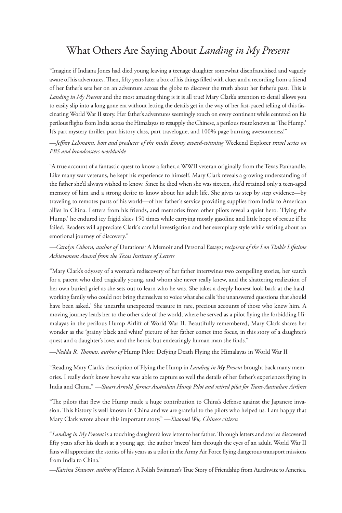### What Others Are Saying About *Landing in My Present*

"Imagine if Indiana Jones had died young leaving a teenage daughter somewhat disenfranchised and vaguely aware of his adventures. Then, fifty years later a box of his things filled with clues and a recording from a friend of her father's sets her on an adventure across the globe to discover the truth about her father's past. This is *Landing in My Present* and the most amazing thing is it is all true! Mary Clark's attention to detail allows you to easily slip into a long gone era without letting the details get in the way of her fast-paced telling of this fascinating World War II story. Her father's adventures seemingly touch on every continent while centered on his perilous flights from India across the Himalayas to resupply the Chinese, a perilous route known as 'The Hump.' It's part mystery thriller, part history class, part travelogue, and 100% page burning awesomeness!"

—*Jeffrey Lehmann, host and producer of the multi Emmy award-winning* Weekend Explorer *travel series on PBS and broadcasters worldwide* 

"A true account of a fantastic quest to know a father, a WWII veteran originally from the Texas Panhandle. Like many war veterans, he kept his experience to himself. Mary Clark reveals a growing understanding of the father she'd always wished to know. Since he died when she was sixteen, she'd retained only a teen-aged memory of him and a strong desire to know about his adult life. She gives us step by step evidence—by traveling to remotes parts of his world—of her father's service providing supplies from India to American allies in China. Letters from his friends, and memories from other pilots reveal a quiet hero. 'Flying the Hump,' he endured icy frigid skies 150 times while carrying mostly gasoline and little hope of rescue if he failed. Readers will appreciate Clark's careful investigation and her exemplary style while writing about an emotional journey of discovery."

*—Carolyn Osborn, author of* Durations*:* A Memoir and Personal Essays; *recipient of the Lon Tinkle Lifetime Achievement Award from the Texas Institute of Letters* 

"Mary Clark's odyssey of a woman's rediscovery of her father intertwines two compelling stories, her search for a parent who died tragically young, and whom she never really knew, and the shattering realization of her own buried grief as she sets out to learn who he was. She takes a deeply honest look back at the hardworking family who could not bring themselves to voice what she calls 'the unanswered questions that should have been asked.' She unearths unexpected treasure in rare, precious accounts of those who knew him. A moving journey leads her to the other side of the world, where he served as a pilot flying the forbidding Himalayas in the perilous Hump Airlift of World War II. Beautifully remembered, Mary Clark shares her wonder as the 'grainy black and white' picture of her father comes into focus, in this story of a daughter's quest and a daughter's love, and the heroic but endearingly human man she finds."

—*Nedda R. Thomas, author of* Hump Pilot: Defying Death Flying the Himalayas in World War II

"Reading Mary Clark's description of Flying the Hump in *Landing in My Present* brought back many memories. I really don't know how she was able to capture so well the details of her father's experiences flying in India and China." —*Stuart Arnold, former Australian Hump Pilot and retired pilot for Trans-Australian Airlines*

"The pilots that flew the Hump made a huge contribution to China's defense against the Japanese invasion. This history is well known in China and we are grateful to the pilots who helped us. I am happy that Mary Clark wrote about this important story." —*Xiaomei Wu, Chinese citizen*

"*Landing in My Present* is a touching daughter's love letter to her father. Through letters and stories discovered fifty years after his death at a young age, the author 'meets' him through the eyes of an adult. World War II fans will appreciate the stories of his years as a pilot in the Army Air Force flying dangerous transport missions from India to China."

—*Katrina Shawver, author of* Henry: A Polish Swimmer's True Story of Friendship from Auschwitz to America.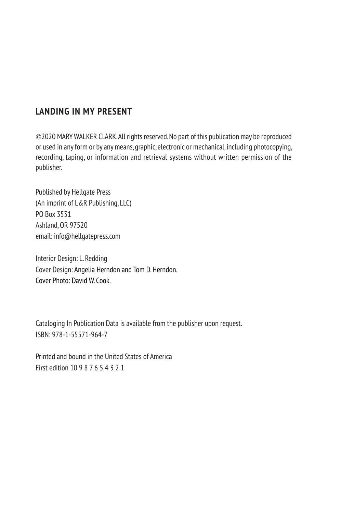### **LANDING IN MY PRESENT**

©2020 MARY WALKER CLARK. All rights reserved. No part of this publication may be reproduced or used in any form or by any means, graphic, electronic or mechanical, including photocopying, recording, taping, or information and retrieval systems without written permission of the publisher.

Published by Hellgate Press (An imprint of L&R Publishing, LLC) PO Box 3531 Ashland, OR 97520 email: info@hellgatepress.com

Interior Design: L. Redding Cover Design: Angelia Herndon and Tom D. Herndon. Cover Photo: David W. Cook.

Cataloging In Publication Data is available from the publisher upon request. ISBN: 978-1-55571-964-7

Printed and bound in the United States of America First edition 10 9 8 7 6 5 4 3 2 1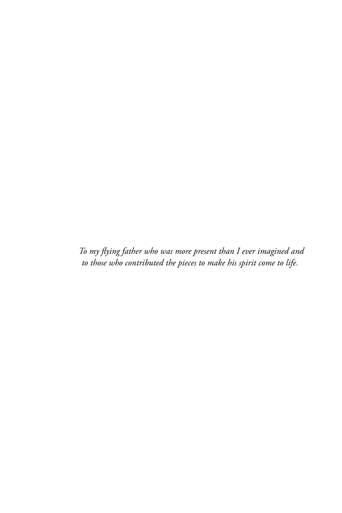*To my flying father who was more present than I ever imagined and to those who contributed the pieces to make his spirit come to life.*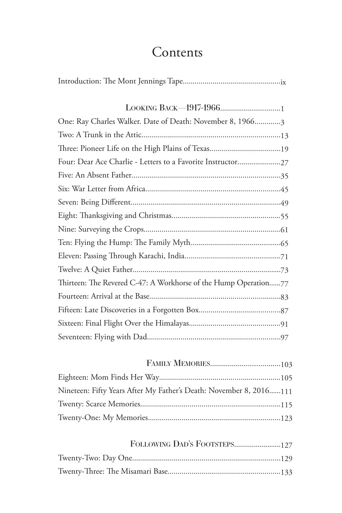## **Contents**

| One: Ray Charles Walker. Date of Death: November 8, 19663       |
|-----------------------------------------------------------------|
|                                                                 |
|                                                                 |
| Four: Dear Ace Charlie - Letters to a Favorite Instructor27     |
|                                                                 |
|                                                                 |
|                                                                 |
|                                                                 |
|                                                                 |
|                                                                 |
|                                                                 |
|                                                                 |
| Thirteen: The Revered C-47: A Workhorse of the Hump Operation77 |
|                                                                 |
|                                                                 |
|                                                                 |
|                                                                 |

| Nineteen: Fifty Years After My Father's Death: November 8, 2016111 |
|--------------------------------------------------------------------|
|                                                                    |
|                                                                    |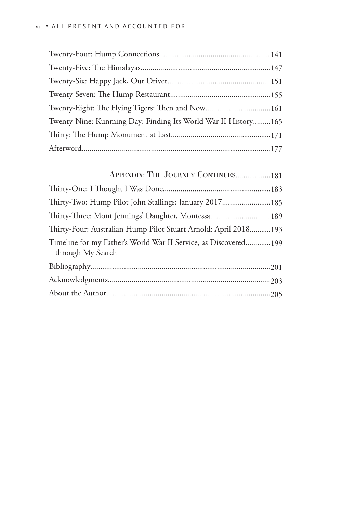| Twenty-Nine: Kunming Day: Finding Its World War II History 165 |  |
|----------------------------------------------------------------|--|
|                                                                |  |
|                                                                |  |

| APPENDIX: THE JOURNEY CONTINUES 181                                                  |  |
|--------------------------------------------------------------------------------------|--|
|                                                                                      |  |
| Thirty-Two: Hump Pilot John Stallings: January 2017185                               |  |
| Thirty-Three: Mont Jennings' Daughter, Montessa 189                                  |  |
| Thirty-Four: Australian Hump Pilot Stuart Arnold: April 2018193                      |  |
| Timeline for my Father's World War II Service, as Discovered199<br>through My Search |  |
|                                                                                      |  |
|                                                                                      |  |
|                                                                                      |  |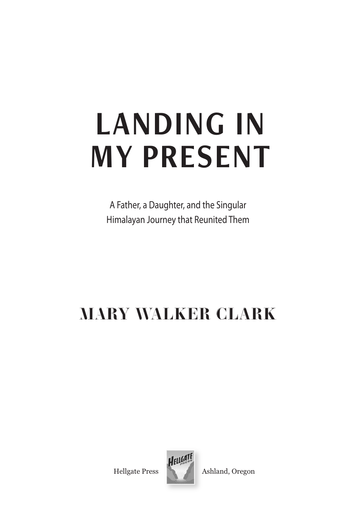# **LANDING IN MY PRESENT**

A Father, a Daughter, and the Singular Himalayan Journey that Reunited Them

# **MARY WALKER CLARK**



Hellgate Press Ashland, Oregon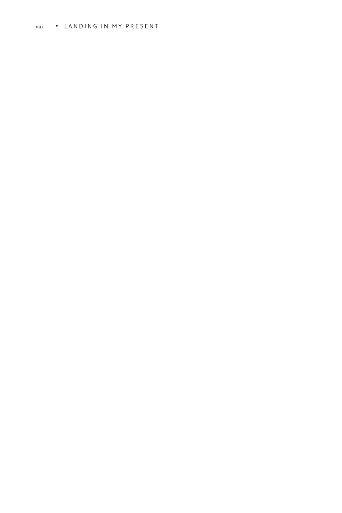#### viii • LANDING IN MY PRESENT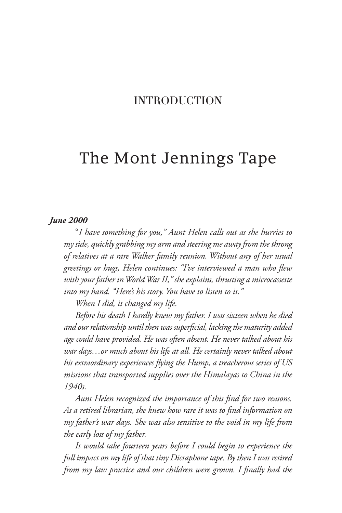## INTRODUCTION

## The Mont Jennings Tape

#### *June 2000*

"*I have something for you," Aunt Helen calls out as she hurries to my side, quickly grabbing my arm and steering me away from the throng of relatives at a rare Walker family reunion. Without any of her usual greetings or hugs, Helen continues: "I've interviewed a man who flew with your father in World War II," she explains, thrusting a microcassette into my hand. "Here's his story. You have to listen to it."* 

*When I did, it changed my life.* 

*Before his death I hardly knew my father. I was sixteen when he died and our relationship until then was superficial, lacking the maturity added age could have provided. He was often absent. He never talked about his war days…or much about his life at all. He certainly never talked about his extraordinary experiences flying the Hump, a treacherous series of US missions that transported supplies over the Himalayas to China in the 1940s.*

*Aunt Helen recognized the importance of this find for two reasons. As a retired librarian, she knew how rare it was to find information on my father's war days. She was also sensitive to the void in my life from the early loss of my father.* 

*It would take fourteen years before I could begin to experience the full impact on my life of that tiny Dictaphone tape. By then I was retired from my law practice and our children were grown. I finally had the*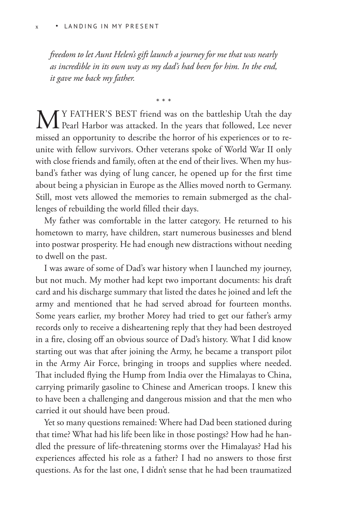*freedom to let Aunt Helen's gift launch a journey for me that was nearly as incredible in its own way as my dad's had been for him. In the end, it gave me back my father.*

\* \* \*

MY FATHER'S BEST friend was on the battleship Utah the day<br>Pearl Harbor was attacked. In the years that followed, Lee never missed an opportunity to describe the horror of his experiences or to reunite with fellow survivors. Other veterans spoke of World War II only with close friends and family, often at the end of their lives. When my husband's father was dying of lung cancer, he opened up for the first time about being a physician in Europe as the Allies moved north to Germany. Still, most vets allowed the memories to remain submerged as the challenges of rebuilding the world filled their days.

My father was comfortable in the latter category. He returned to his hometown to marry, have children, start numerous businesses and blend into postwar prosperity. He had enough new distractions without needing to dwell on the past.

I was aware of some of Dad's war history when I launched my journey, but not much. My mother had kept two important documents: his draft card and his discharge summary that listed the dates he joined and left the army and mentioned that he had served abroad for fourteen months. Some years earlier, my brother Morey had tried to get our father's army records only to receive a disheartening reply that they had been destroyed in a fire, closing off an obvious source of Dad's history. What I did know starting out was that after joining the Army, he became a transport pilot in the Army Air Force, bringing in troops and supplies where needed. That included flying the Hump from India over the Himalayas to China, carrying primarily gasoline to Chinese and American troops. I knew this to have been a challenging and dangerous mission and that the men who carried it out should have been proud.

Yet so many questions remained: Where had Dad been stationed during that time? What had his life been like in those postings? How had he handled the pressure of life-threatening storms over the Himalayas? Had his experiences affected his role as a father? I had no answers to those first questions. As for the last one, I didn't sense that he had been traumatized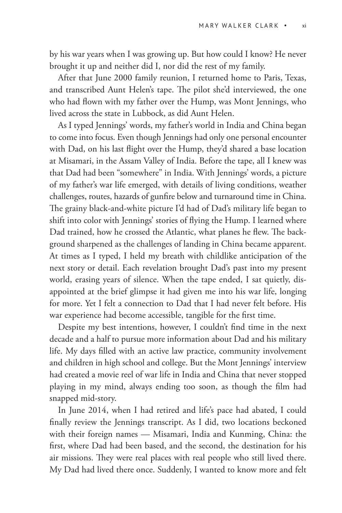by his war years when I was growing up. But how could I know? He never brought it up and neither did I, nor did the rest of my family.

After that June 2000 family reunion, I returned home to Paris, Texas, and transcribed Aunt Helen's tape. The pilot she'd interviewed, the one who had flown with my father over the Hump, was Mont Jennings, who lived across the state in Lubbock, as did Aunt Helen.

As I typed Jennings' words, my father's world in India and China began to come into focus. Even though Jennings had only one personal encounter with Dad, on his last flight over the Hump, they'd shared a base location at Misamari, in the Assam Valley of India. Before the tape, all I knew was that Dad had been "somewhere" in India. With Jennings' words, a picture of my father's war life emerged, with details of living conditions, weather challenges, routes, hazards of gunfire below and turnaround time in China. The grainy black-and-white picture I'd had of Dad's military life began to shift into color with Jennings' stories of flying the Hump. I learned where Dad trained, how he crossed the Atlantic, what planes he flew. The background sharpened as the challenges of landing in China became apparent. At times as I typed, I held my breath with childlike anticipation of the next story or detail. Each revelation brought Dad's past into my present world, erasing years of silence. When the tape ended, I sat quietly, disappointed at the brief glimpse it had given me into his war life, longing for more. Yet I felt a connection to Dad that I had never felt before. His war experience had become accessible, tangible for the first time.

Despite my best intentions, however, I couldn't find time in the next decade and a half to pursue more information about Dad and his military life. My days filled with an active law practice, community involvement and children in high school and college. But the Mont Jennings' interview had created a movie reel of war life in India and China that never stopped playing in my mind, always ending too soon, as though the film had snapped mid-story.

In June 2014, when I had retired and life's pace had abated, I could finally review the Jennings transcript. As I did, two locations beckoned with their foreign names — Misamari, India and Kunming, China: the first, where Dad had been based, and the second, the destination for his air missions. They were real places with real people who still lived there. My Dad had lived there once. Suddenly, I wanted to know more and felt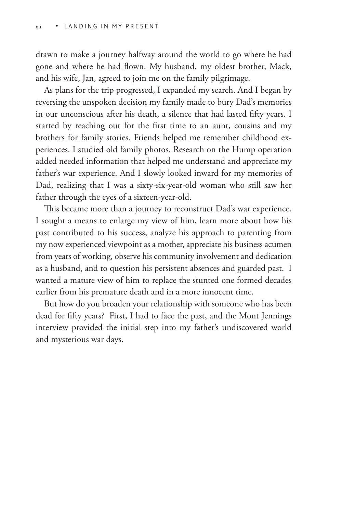drawn to make a journey halfway around the world to go where he had gone and where he had flown. My husband, my oldest brother, Mack, and his wife, Jan, agreed to join me on the family pilgrimage.

As plans for the trip progressed, I expanded my search. And I began by reversing the unspoken decision my family made to bury Dad's memories in our unconscious after his death, a silence that had lasted fifty years. I started by reaching out for the first time to an aunt, cousins and my brothers for family stories. Friends helped me remember childhood experiences. I studied old family photos. Research on the Hump operation added needed information that helped me understand and appreciate my father's war experience. And I slowly looked inward for my memories of Dad, realizing that I was a sixty-six-year-old woman who still saw her father through the eyes of a sixteen-year-old.

This became more than a journey to reconstruct Dad's war experience. I sought a means to enlarge my view of him, learn more about how his past contributed to his success, analyze his approach to parenting from my now experienced viewpoint as a mother, appreciate his business acumen from years of working, observe his community involvement and dedication as a husband, and to question his persistent absences and guarded past. I wanted a mature view of him to replace the stunted one formed decades earlier from his premature death and in a more innocent time.

But how do you broaden your relationship with someone who has been dead for fifty years? First, I had to face the past, and the Mont Jennings interview provided the initial step into my father's undiscovered world and mysterious war days.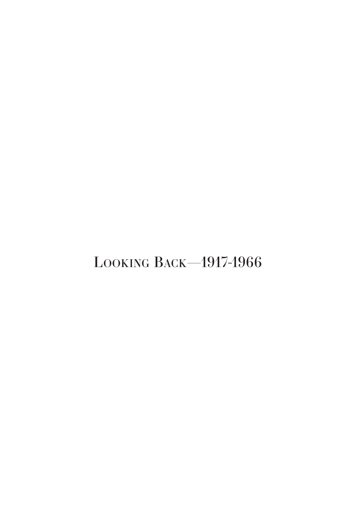# LOOKING BACK—1917-1966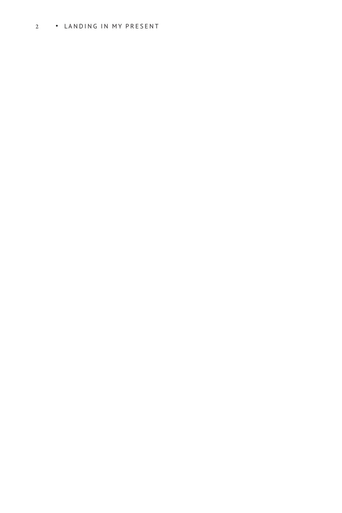#### 2 • LANDING IN MY PRESENT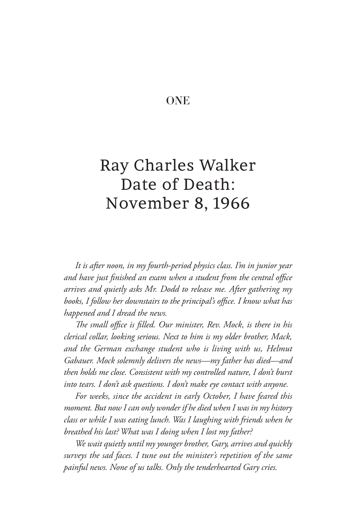#### **ONE**

# Ray Charles Walker Date of Death: November 8, 1966

*It is after noon, in my fourth-period physics class. I'm in junior year and have just finished an exam when a student from the central office arrives and quietly asks Mr. Dodd to release me. After gathering my books, I follow her downstairs to the principal's office. I know what has happened and I dread the news.* 

*The small office is filled. Our minister, Rev. Mock, is there in his clerical collar, looking serious. Next to him is my older brother, Mack, and the German exchange student who is living with us, Helmut Gabauer. Mock solemnly delivers the news—my father has died—and then holds me close. Consistent with my controlled nature, I don't burst into tears. I don't ask questions. I don't make eye contact with anyone.* 

*For weeks, since the accident in early October, I have feared this moment. But now I can only wonder if he died when I was in my history class or while I was eating lunch. Was I laughing with friends when he breathed his last? What was I doing when I lost my father?* 

*We wait quietly until my younger brother, Gary, arrives and quickly surveys the sad faces. I tune out the minister's repetition of the same painful news. None of us talks. Only the tenderhearted Gary cries.*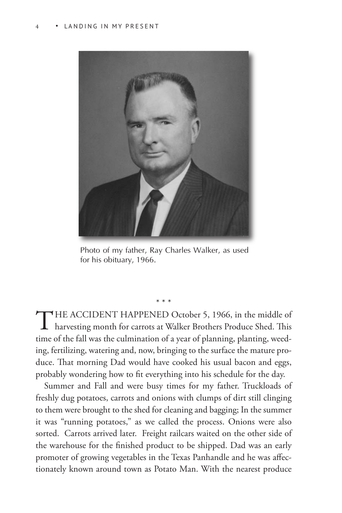

Photo of my father, Ray Charles Walker, as used for his obituary, 1966.

T HE ACCIDENT HAPPENED October 5, 1966, in the middle of harvesting month for carrots at Walker Brothers Produce Shed. This time of the fall was the culmination of a year of planning, planting, weeding, fertilizing, watering and, now, bringing to the surface the mature produce. That morning Dad would have cooked his usual bacon and eggs, probably wondering how to fit everything into his schedule for the day.

\* \* \*

Summer and Fall and were busy times for my father. Truckloads of freshly dug potatoes, carrots and onions with clumps of dirt still clinging to them were brought to the shed for cleaning and bagging; In the summer it was "running potatoes," as we called the process. Onions were also sorted. Carrots arrived later. Freight railcars waited on the other side of the warehouse for the finished product to be shipped. Dad was an early promoter of growing vegetables in the Texas Panhandle and he was affectionately known around town as Potato Man. With the nearest produce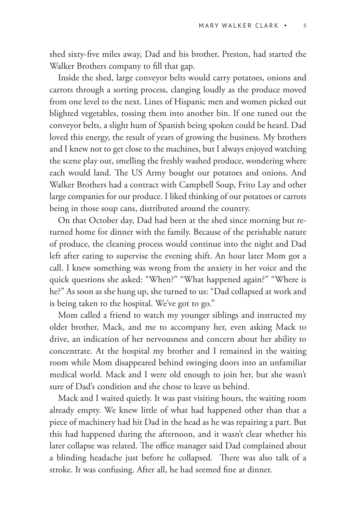shed sixty-five miles away, Dad and his brother, Preston, had started the Walker Brothers company to fill that gap.

Inside the shed, large conveyor belts would carry potatoes, onions and carrots through a sorting process, clanging loudly as the produce moved from one level to the next. Lines of Hispanic men and women picked out blighted vegetables, tossing them into another bin. If one tuned out the conveyor belts, a slight hum of Spanish being spoken could be heard. Dad loved this energy, the result of years of growing the business. My brothers and I knew not to get close to the machines, but I always enjoyed watching the scene play out, smelling the freshly washed produce, wondering where each would land. The US Army bought our potatoes and onions. And Walker Brothers had a contract with Campbell Soup, Frito Lay and other large companies for our produce. I liked thinking of our potatoes or carrots being in those soup cans, distributed around the country.

On that October day, Dad had been at the shed since morning but returned home for dinner with the family. Because of the perishable nature of produce, the cleaning process would continue into the night and Dad left after eating to supervise the evening shift. An hour later Mom got a call. I knew something was wrong from the anxiety in her voice and the quick questions she asked: "When?" "What happened again?" "Where is he?" As soon as she hung up, she turned to us: "Dad collapsed at work and is being taken to the hospital. We've got to go."

Mom called a friend to watch my younger siblings and instructed my older brother, Mack, and me to accompany her, even asking Mack to drive, an indication of her nervousness and concern about her ability to concentrate. At the hospital my brother and I remained in the waiting room while Mom disappeared behind swinging doors into an unfamiliar medical world. Mack and I were old enough to join her, but she wasn't sure of Dad's condition and she chose to leave us behind.

Mack and I waited quietly. It was past visiting hours, the waiting room already empty. We knew little of what had happened other than that a piece of machinery had hit Dad in the head as he was repairing a part. But this had happened during the afternoon, and it wasn't clear whether his later collapse was related. The office manager said Dad complained about a blinding headache just before he collapsed. There was also talk of a stroke. It was confusing. After all, he had seemed fine at dinner.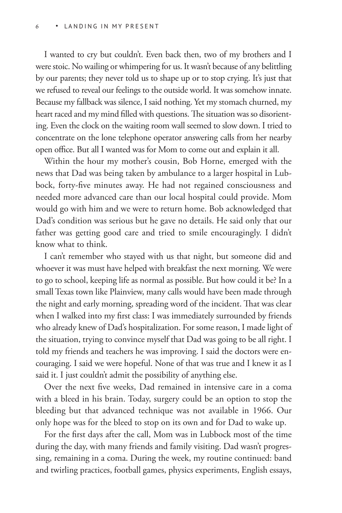I wanted to cry but couldn't. Even back then, two of my brothers and I were stoic. No wailing or whimpering for us. It wasn't because of any belittling by our parents; they never told us to shape up or to stop crying. It's just that we refused to reveal our feelings to the outside world. It was somehow innate. Because my fallback was silence, I said nothing. Yet my stomach churned, my heart raced and my mind filled with questions. The situation was so disorienting. Even the clock on the waiting room wall seemed to slow down. I tried to concentrate on the lone telephone operator answering calls from her nearby open office. But all I wanted was for Mom to come out and explain it all.

Within the hour my mother's cousin, Bob Horne, emerged with the news that Dad was being taken by ambulance to a larger hospital in Lubbock, forty-five minutes away. He had not regained consciousness and needed more advanced care than our local hospital could provide. Mom would go with him and we were to return home. Bob acknowledged that Dad's condition was serious but he gave no details. He said only that our father was getting good care and tried to smile encouragingly. I didn't know what to think.

I can't remember who stayed with us that night, but someone did and whoever it was must have helped with breakfast the next morning. We were to go to school, keeping life as normal as possible. But how could it be? In a small Texas town like Plainview, many calls would have been made through the night and early morning, spreading word of the incident. That was clear when I walked into my first class: I was immediately surrounded by friends who already knew of Dad's hospitalization. For some reason, I made light of the situation, trying to convince myself that Dad was going to be all right. I told my friends and teachers he was improving. I said the doctors were encouraging. I said we were hopeful. None of that was true and I knew it as I said it. I just couldn't admit the possibility of anything else.

Over the next five weeks, Dad remained in intensive care in a coma with a bleed in his brain. Today, surgery could be an option to stop the bleeding but that advanced technique was not available in 1966. Our only hope was for the bleed to stop on its own and for Dad to wake up.

For the first days after the call, Mom was in Lubbock most of the time during the day, with many friends and family visiting. Dad wasn't progressing, remaining in a coma. During the week, my routine continued: band and twirling practices, football games, physics experiments, English essays,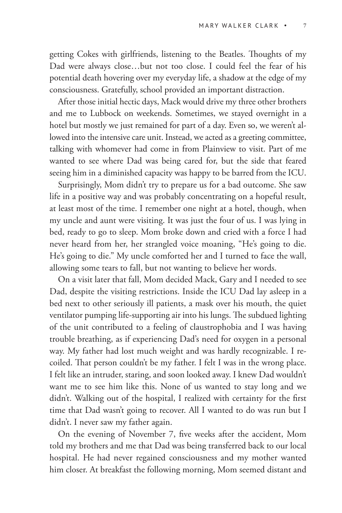getting Cokes with girlfriends, listening to the Beatles. Thoughts of my Dad were always close…but not too close. I could feel the fear of his potential death hovering over my everyday life, a shadow at the edge of my consciousness. Gratefully, school provided an important distraction.

After those initial hectic days, Mack would drive my three other brothers and me to Lubbock on weekends. Sometimes, we stayed overnight in a hotel but mostly we just remained for part of a day. Even so, we weren't allowed into the intensive care unit. Instead, we acted as a greeting committee, talking with whomever had come in from Plainview to visit. Part of me wanted to see where Dad was being cared for, but the side that feared seeing him in a diminished capacity was happy to be barred from the ICU.

Surprisingly, Mom didn't try to prepare us for a bad outcome. She saw life in a positive way and was probably concentrating on a hopeful result, at least most of the time. I remember one night at a hotel, though, when my uncle and aunt were visiting. It was just the four of us. I was lying in bed, ready to go to sleep. Mom broke down and cried with a force I had never heard from her, her strangled voice moaning, "He's going to die. He's going to die." My uncle comforted her and I turned to face the wall, allowing some tears to fall, but not wanting to believe her words.

On a visit later that fall, Mom decided Mack, Gary and I needed to see Dad, despite the visiting restrictions. Inside the ICU Dad lay asleep in a bed next to other seriously ill patients, a mask over his mouth, the quiet ventilator pumping life-supporting air into his lungs. The subdued lighting of the unit contributed to a feeling of claustrophobia and I was having trouble breathing, as if experiencing Dad's need for oxygen in a personal way. My father had lost much weight and was hardly recognizable. I recoiled. That person couldn't be my father. I felt I was in the wrong place. I felt like an intruder, staring, and soon looked away. I knew Dad wouldn't want me to see him like this. None of us wanted to stay long and we didn't. Walking out of the hospital, I realized with certainty for the first time that Dad wasn't going to recover. All I wanted to do was run but I didn't. I never saw my father again.

On the evening of November 7, five weeks after the accident, Mom told my brothers and me that Dad was being transferred back to our local hospital. He had never regained consciousness and my mother wanted him closer. At breakfast the following morning, Mom seemed distant and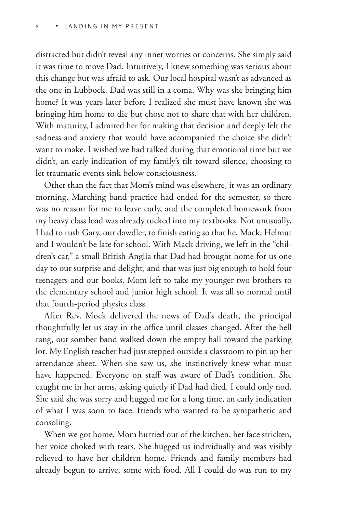distracted but didn't reveal any inner worries or concerns. She simply said it was time to move Dad. Intuitively, I knew something was serious about this change but was afraid to ask. Our local hospital wasn't as advanced as the one in Lubbock. Dad was still in a coma. Why was she bringing him home? It was years later before I realized she must have known she was bringing him home to die but chose not to share that with her children. With maturity, I admired her for making that decision and deeply felt the sadness and anxiety that would have accompanied the choice she didn't want to make. I wished we had talked during that emotional time but we didn't, an early indication of my family's tilt toward silence, choosing to let traumatic events sink below consciousness.

Other than the fact that Mom's mind was elsewhere, it was an ordinary morning. Marching band practice had ended for the semester, so there was no reason for me to leave early, and the completed homework from my heavy class load was already tucked into my textbooks. Not unusually, I had to rush Gary, our dawdler, to finish eating so that he, Mack, Helmut and I wouldn't be late for school. With Mack driving, we left in the "children's car," a small British Anglia that Dad had brought home for us one day to our surprise and delight, and that was just big enough to hold four teenagers and our books. Mom left to take my younger two brothers to the elementary school and junior high school. It was all so normal until that fourth-period physics class.

After Rev. Mock delivered the news of Dad's death, the principal thoughtfully let us stay in the office until classes changed. After the bell rang, our somber band walked down the empty hall toward the parking lot. My English teacher had just stepped outside a classroom to pin up her attendance sheet. When she saw us, she instinctively knew what must have happened. Everyone on staff was aware of Dad's condition. She caught me in her arms, asking quietly if Dad had died. I could only nod. She said she was sorry and hugged me for a long time, an early indication of what I was soon to face: friends who wanted to be sympathetic and consoling.

When we got home, Mom hurried out of the kitchen, her face stricken, her voice choked with tears. She hugged us individually and was visibly relieved to have her children home. Friends and family members had already begun to arrive, some with food. All I could do was run to my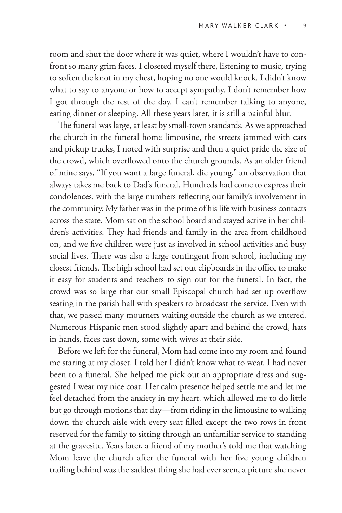room and shut the door where it was quiet, where I wouldn't have to confront so many grim faces. I closeted myself there, listening to music, trying to soften the knot in my chest, hoping no one would knock. I didn't know what to say to anyone or how to accept sympathy. I don't remember how I got through the rest of the day. I can't remember talking to anyone, eating dinner or sleeping. All these years later, it is still a painful blur.

The funeral was large, at least by small-town standards. As we approached the church in the funeral home limousine, the streets jammed with cars and pickup trucks, I noted with surprise and then a quiet pride the size of the crowd, which overflowed onto the church grounds. As an older friend of mine says, "If you want a large funeral, die young," an observation that always takes me back to Dad's funeral. Hundreds had come to express their condolences, with the large numbers reflecting our family's involvement in the community. My father was in the prime of his life with business contacts across the state. Mom sat on the school board and stayed active in her children's activities. They had friends and family in the area from childhood on, and we five children were just as involved in school activities and busy social lives. There was also a large contingent from school, including my closest friends. The high school had set out clipboards in the office to make it easy for students and teachers to sign out for the funeral. In fact, the crowd was so large that our small Episcopal church had set up overflow seating in the parish hall with speakers to broadcast the service. Even with that, we passed many mourners waiting outside the church as we entered. Numerous Hispanic men stood slightly apart and behind the crowd, hats in hands, faces cast down, some with wives at their side.

Before we left for the funeral, Mom had come into my room and found me staring at my closet. I told her I didn't know what to wear. I had never been to a funeral. She helped me pick out an appropriate dress and suggested I wear my nice coat. Her calm presence helped settle me and let me feel detached from the anxiety in my heart, which allowed me to do little but go through motions that day—from riding in the limousine to walking down the church aisle with every seat filled except the two rows in front reserved for the family to sitting through an unfamiliar service to standing at the gravesite. Years later, a friend of my mother's told me that watching Mom leave the church after the funeral with her five young children trailing behind was the saddest thing she had ever seen, a picture she never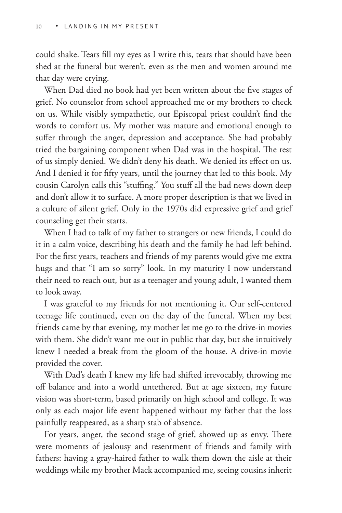could shake. Tears fill my eyes as I write this, tears that should have been shed at the funeral but weren't, even as the men and women around me that day were crying.

When Dad died no book had yet been written about the five stages of grief. No counselor from school approached me or my brothers to check on us. While visibly sympathetic, our Episcopal priest couldn't find the words to comfort us. My mother was mature and emotional enough to suffer through the anger, depression and acceptance. She had probably tried the bargaining component when Dad was in the hospital. The rest of us simply denied. We didn't deny his death. We denied its effect on us. And I denied it for fifty years, until the journey that led to this book. My cousin Carolyn calls this "stuffing." You stuff all the bad news down deep and don't allow it to surface. A more proper description is that we lived in a culture of silent grief. Only in the 1970s did expressive grief and grief counseling get their starts.

When I had to talk of my father to strangers or new friends, I could do it in a calm voice, describing his death and the family he had left behind. For the first years, teachers and friends of my parents would give me extra hugs and that "I am so sorry" look. In my maturity I now understand their need to reach out, but as a teenager and young adult, I wanted them to look away.

I was grateful to my friends for not mentioning it. Our self-centered teenage life continued, even on the day of the funeral. When my best friends came by that evening, my mother let me go to the drive-in movies with them. She didn't want me out in public that day, but she intuitively knew I needed a break from the gloom of the house. A drive-in movie provided the cover.

With Dad's death I knew my life had shifted irrevocably, throwing me off balance and into a world untethered. But at age sixteen, my future vision was short-term, based primarily on high school and college. It was only as each major life event happened without my father that the loss painfully reappeared, as a sharp stab of absence.

For years, anger, the second stage of grief, showed up as envy. There were moments of jealousy and resentment of friends and family with fathers: having a gray-haired father to walk them down the aisle at their weddings while my brother Mack accompanied me, seeing cousins inherit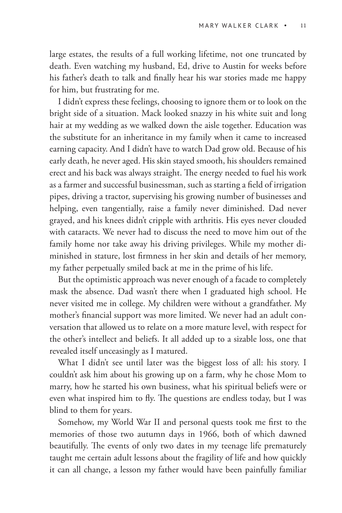large estates, the results of a full working lifetime, not one truncated by death. Even watching my husband, Ed, drive to Austin for weeks before his father's death to talk and finally hear his war stories made me happy for him, but frustrating for me.

I didn't express these feelings, choosing to ignore them or to look on the bright side of a situation. Mack looked snazzy in his white suit and long hair at my wedding as we walked down the aisle together. Education was the substitute for an inheritance in my family when it came to increased earning capacity. And I didn't have to watch Dad grow old. Because of his early death, he never aged. His skin stayed smooth, his shoulders remained erect and his back was always straight. The energy needed to fuel his work as a farmer and successful businessman, such as starting a field of irrigation pipes, driving a tractor, supervising his growing number of businesses and helping, even tangentially, raise a family never diminished. Dad never grayed, and his knees didn't cripple with arthritis. His eyes never clouded with cataracts. We never had to discuss the need to move him out of the family home nor take away his driving privileges. While my mother diminished in stature, lost firmness in her skin and details of her memory, my father perpetually smiled back at me in the prime of his life.

But the optimistic approach was never enough of a facade to completely mask the absence. Dad wasn't there when I graduated high school. He never visited me in college. My children were without a grandfather. My mother's financial support was more limited. We never had an adult conversation that allowed us to relate on a more mature level, with respect for the other's intellect and beliefs. It all added up to a sizable loss, one that revealed itself unceasingly as I matured.

What I didn't see until later was the biggest loss of all: his story. I couldn't ask him about his growing up on a farm, why he chose Mom to marry, how he started his own business, what his spiritual beliefs were or even what inspired him to fly. The questions are endless today, but I was blind to them for years.

Somehow, my World War II and personal quests took me first to the memories of those two autumn days in 1966, both of which dawned beautifully. The events of only two dates in my teenage life prematurely taught me certain adult lessons about the fragility of life and how quickly it can all change, a lesson my father would have been painfully familiar